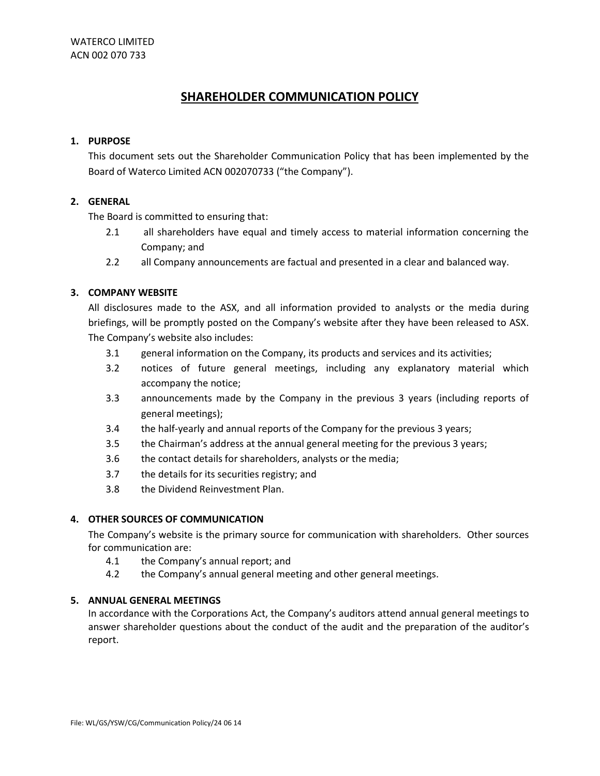# **SHAREHOLDER COMMUNICATION POLICY**

#### **1. PURPOSE**

This document sets out the Shareholder Communication Policy that has been implemented by the Board of Waterco Limited ACN 002070733 ("the Company").

## **2. GENERAL**

The Board is committed to ensuring that:

- 2.1 all shareholders have equal and timely access to material information concerning the Company; and
- 2.2 all Company announcements are factual and presented in a clear and balanced way.

### **3. COMPANY WEBSITE**

All disclosures made to the ASX, and all information provided to analysts or the media during briefings, will be promptly posted on the Company's website after they have been released to ASX. The Company's website also includes:

- 3.1 general information on the Company, its products and services and its activities;
- 3.2 notices of future general meetings, including any explanatory material which accompany the notice;
- 3.3 announcements made by the Company in the previous 3 years (including reports of general meetings);
- 3.4 the half-yearly and annual reports of the Company for the previous 3 years;
- 3.5 the Chairman's address at the annual general meeting for the previous 3 years;
- 3.6 the contact details for shareholders, analysts or the media;
- 3.7 the details for its securities registry; and
- 3.8 the Dividend Reinvestment Plan.

### **4. OTHER SOURCES OF COMMUNICATION**

The Company's website is the primary source for communication with shareholders. Other sources for communication are:

- 4.1 the Company's annual report; and
- 4.2 the Company's annual general meeting and other general meetings.

### **5. ANNUAL GENERAL MEETINGS**

In accordance with the Corporations Act, the Company's auditors attend annual general meetings to answer shareholder questions about the conduct of the audit and the preparation of the auditor's report.